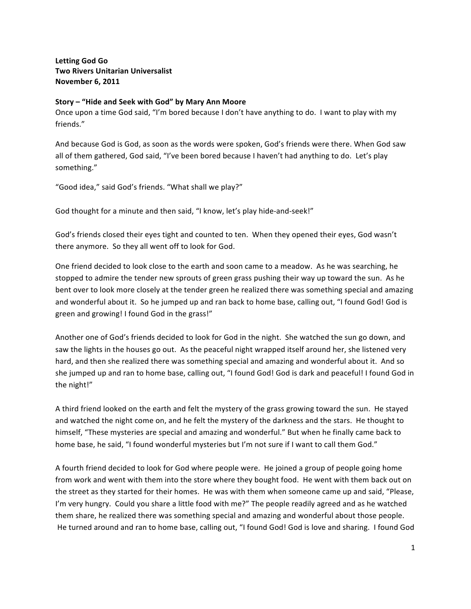**Letting'God'Go Two Rivers Unitarian Universalist November 6, 2011** 

#### **Story – "Hide'and'Seek'with'God"'by'Mary'Ann'Moore**

Once upon a time God said, "I'm bored because I don't have anything to do. I want to play with my friends."

And because God is God, as soon as the words were spoken, God's friends were there. When God saw all of them gathered, God said, "I've been bored because I haven't had anything to do. Let's play something."

"Good idea," said God's friends. "What shall we play?"

God thought for a minute and then said, "I know, let's play hide-and-seek!"

God's friends closed their eyes tight and counted to ten. When they opened their eyes, God wasn't there anymore. So they all went off to look for God.

One friend decided to look close to the earth and soon came to a meadow. As he was searching, he stopped to admire the tender new sprouts of green grass pushing their way up toward the sun. As he bent over to look more closely at the tender green he realized there was something special and amazing and wonderful about it. So he jumped up and ran back to home base, calling out, "I found God! God is green and growing! I found God in the grass!"

Another one of God's friends decided to look for God in the night. She watched the sun go down, and saw the lights in the houses go out. As the peaceful night wrapped itself around her, she listened very hard, and then she realized there was something special and amazing and wonderful about it. And so she jumped up and ran to home base, calling out, "I found God! God is dark and peaceful! I found God in the night!"

A third friend looked on the earth and felt the mystery of the grass growing toward the sun. He stayed and watched the night come on, and he felt the mystery of the darkness and the stars. He thought to himself, "These mysteries are special and amazing and wonderful." But when he finally came back to home base, he said, "I found wonderful mysteries but I'm not sure if I want to call them God."

A fourth friend decided to look for God where people were. He joined a group of people going home from work and went with them into the store where they bought food. He went with them back out on the street as they started for their homes. He was with them when someone came up and said, "Please, I'm very hungry. Could you share a little food with me?" The people readily agreed and as he watched them share, he realized there was something special and amazing and wonderful about those people. He turned around and ran to home base, calling out, "I found God! God is love and sharing. I found God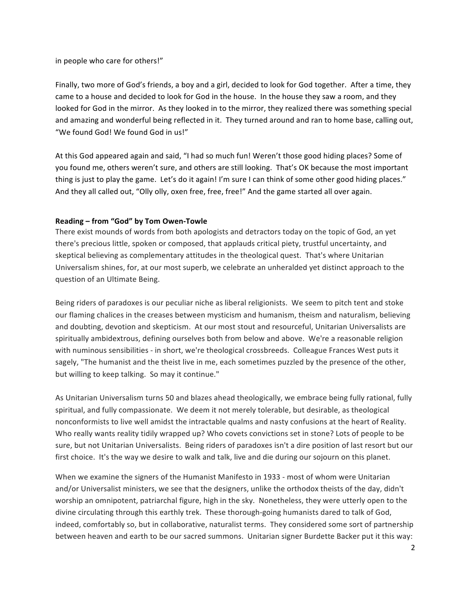in people who care for others!"

Finally, two more of God's friends, a boy and a girl, decided to look for God together. After a time, they came to a house and decided to look for God in the house. In the house they saw a room, and they looked for God in the mirror. As they looked in to the mirror, they realized there was something special and amazing and wonderful being reflected in it. They turned around and ran to home base, calling out, "We found God! We found God in us!"

At this God appeared again and said, "I had so much fun! Weren't those good hiding places? Some of you found me, others weren't sure, and others are still looking. That's OK because the most important thing is just to play the game. Let's do it again! I'm sure I can think of some other good hiding places." And they all called out, "Olly olly, oxen free, free, free!" And the game started all over again.

### Reading – from "God" by Tom Owen-Towle

There exist mounds of words from both apologists and detractors today on the topic of God, an yet there's precious little, spoken or composed, that applauds critical piety, trustful uncertainty, and skeptical believing as complementary attitudes in the theological quest. That's where Unitarian Universalism shines, for, at our most superb, we celebrate an unheralded yet distinct approach to the question of an Ultimate Being.

Being riders of paradoxes is our peculiar niche as liberal religionists. We seem to pitch tent and stoke our flaming chalices in the creases between mysticism and humanism, theism and naturalism, believing and doubting, devotion and skepticism. At our most stout and resourceful, Unitarian Universalists are spiritually ambidextrous, defining ourselves both from below and above. We're a reasonable religion with numinous sensibilities - in short, we're theological crossbreeds. Colleague Frances West puts it sagely, "The humanist and the theist live in me, each sometimes puzzled by the presence of the other, but willing to keep talking. So may it continue."

As Unitarian Universalism turns 50 and blazes ahead theologically, we embrace being fully rational, fully spiritual, and fully compassionate. We deem it not merely tolerable, but desirable, as theological nonconformists to live well amidst the intractable qualms and nasty confusions at the heart of Reality. Who really wants reality tidily wrapped up? Who covets convictions set in stone? Lots of people to be sure, but not Unitarian Universalists. Being riders of paradoxes isn't a dire position of last resort but our first choice. It's the way we desire to walk and talk, live and die during our sojourn on this planet.

When we examine the signers of the Humanist Manifesto in 1933 - most of whom were Unitarian and/or Universalist ministers, we see that the designers, unlike the orthodox theists of the day, didn't worship an omnipotent, patriarchal figure, high in the sky. Nonetheless, they were utterly open to the divine circulating through this earthly trek. These thorough-going humanists dared to talk of God, indeed, comfortably so, but in collaborative, naturalist terms. They considered some sort of partnership between heaven and earth to be our sacred summons. Unitarian signer Burdette Backer put it this way: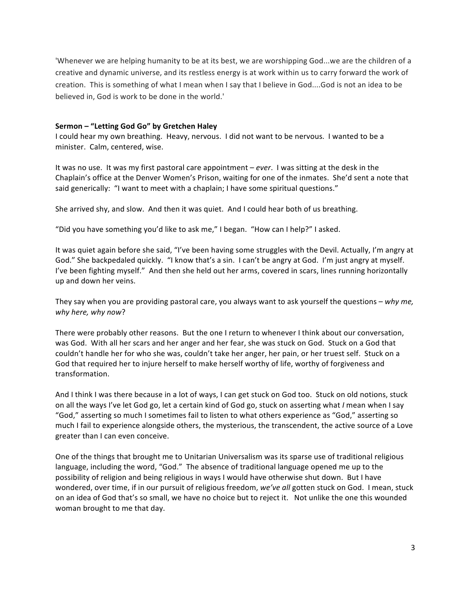'Whenever we are helping humanity to be at its best, we are worshipping God...we are the children of a creative and dynamic universe, and its restless energy is at work within us to carry forward the work of creation. This is something of what I mean when I say that I believe in God....God is not an idea to be believed in, God is work to be done in the world.'

### Sermon - "Letting God Go" by Gretchen Haley

I could hear my own breathing. Heavy, nervous. I did not want to be nervous. I wanted to be a minister. Calm, centered, wise.

It was no use. It was my first pastoral care appointment – *ever*. I was sitting at the desk in the Chaplain's office at the Denver Women's Prison, waiting for one of the inmates. She'd sent a note that said generically: "I want to meet with a chaplain; I have some spiritual questions."

She arrived shy, and slow. And then it was quiet. And I could hear both of us breathing.

"Did you have something you'd like to ask me," I began. "How can I help?" I asked.

It was quiet again before she said, "I've been having some struggles with the Devil. Actually, I'm angry at God." She backpedaled quickly. "I know that's a sin. I can't be angry at God. I'm just angry at myself. I've been fighting myself." And then she held out her arms, covered in scars, lines running horizontally up and down her veins.

They say when you are providing pastoral care, you always want to ask yourself the questions – *why me,* why here, why now?

There were probably other reasons. But the one I return to whenever I think about our conversation, was God. With all her scars and her anger and her fear, she was stuck on God. Stuck on a God that couldn't handle her for who she was, couldn't take her anger, her pain, or her truest self. Stuck on a God that required her to injure herself to make herself worthy of life, worthy of forgiveness and transformation.

And I think I was there because in a lot of ways, I can get stuck on God too. Stuck on old notions, stuck on all the ways I've let God go, let a certain kind of God go, stuck on asserting what *I* mean when I say "God," asserting so much I sometimes fail to listen to what others experience as "God," asserting so much I fail to experience alongside others, the mysterious, the transcendent, the active source of a Love greater than I can even conceive.

One of the things that brought me to Unitarian Universalism was its sparse use of traditional religious language, including the word, "God." The absence of traditional language opened me up to the possibility of religion and being religious in ways I would have otherwise shut down. But I have wondered, over time, if in our pursuit of religious freedom, we've all gotten stuck on God. I mean, stuck on an idea of God that's so small, we have no choice but to reject it. Not unlike the one this wounded woman brought to me that day.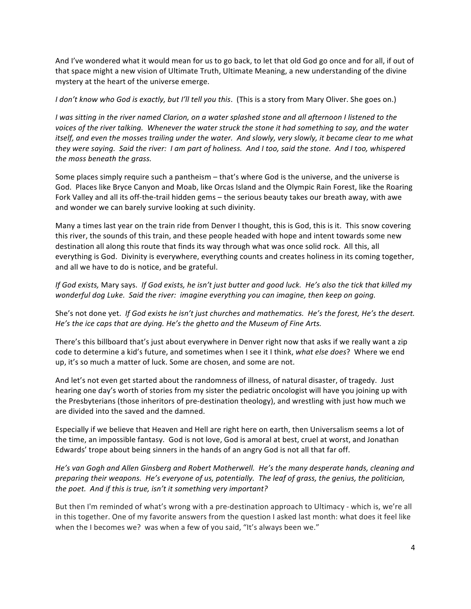And I've wondered what it would mean for us to go back, to let that old God go once and for all, if out of that space might a new vision of Ultimate Truth, Ultimate Meaning, a new understanding of the divine mystery at the heart of the universe emerge.

*I* don't know who God is exactly, but I'll tell you this. (This is a story from Mary Oliver. She goes on.)

*I* was sitting in the river named Clarion, on a water splashed stone and all afternoon I listened to the *voices'of'the'river'talking.''Whenever'the'water'struck'the'stone'it'had'something'to'say,'and'the'water'* itself, and even the mosses trailing under the water. And slowly, very slowly, it became clear to me what *they'were'saying.''Said'the'river:''I'am'part'of'holiness.''And'I'too,'said'the'stone.''And'I'too,'whispered'* the moss beneath the grass.

Some places simply require such a pantheism – that's where God is the universe, and the universe is God." Places like Bryce Canyon and Moab, like Orcas Island and the Olympic Rain Forest, like the Roaring Fork Valley and all its off-the-trail hidden gems – the serious beauty takes our breath away, with awe and wonder we can barely survive looking at such divinity.

Many a times last year on the train ride from Denver I thought, this is God, this is it. This snow covering this river, the sounds of this train, and these people headed with hope and intent towards some new destination all along this route that finds its way through what was once solid rock. All this, all everything is God. Divinity is everywhere, everything counts and creates holiness in its coming together, and all we have to do is notice, and be grateful.

*If'God'exists,*"Mary"says.""*If'God'exists,'he'isn't'just'butter'and'good'luck.''He's'also'the'tick'that'killed'my'* wonderful dog Luke. Said the river: imagine everything you can imagine, then keep on going.

She's not done yet. *If God exists he isn't just churches and mathematics. He's the forest, He's the desert.* He's the ice caps that are dying. He's the ghetto and the Museum of Fine Arts.

There's this billboard that's just about everywhere in Denver right now that asks if we really want a zip code to determine a kid's future, and sometimes when I see it I think, what else does? Where we end up, it's so much a matter of luck. Some are chosen, and some are not.

And let's not even get started about the randomness of illness, of natural disaster, of tragedy. Just hearing one day's worth of stories from my sister the pediatric oncologist will have you joining up with the Presbyterians (those inheritors of pre-destination theology), and wrestling with just how much we are divided into the saved and the damned.

Especially if we believe that Heaven and Hell are right here on earth, then Universalism seems a lot of the time, an impossible fantasy. God is not love, God is amoral at best, cruel at worst, and Jonathan Edwards' trope about being sinners in the hands of an angry God is not all that far off.

He's van Gogh and Allen Ginsberg and Robert Motherwell. He's the many desperate hands, cleaning and *preparing'their'weapons.''He's'everyone'of'us,'potentially.''The'leaf'of'grass,'the'genius,'the'politician,'* the poet. And if this is true, isn't it something very important?

But then I'm reminded of what's wrong with a pre-destination approach to Ultimacy - which is, we're all in this together. One of my favorite answers from the question I asked last month: what does it feel like when the I becomes we? was when a few of you said, "It's always been we."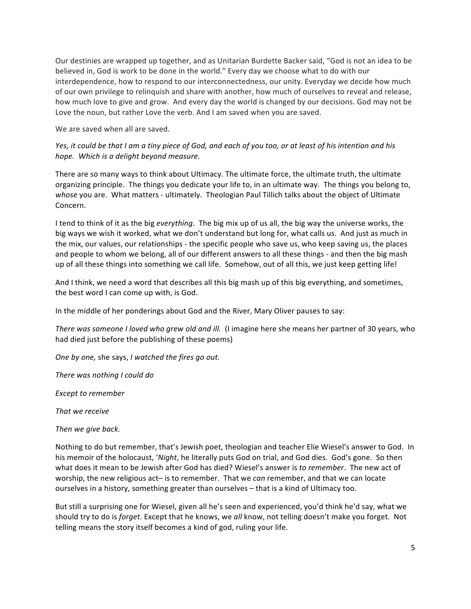Our destinies are wrapped up together, and as Unitarian Burdette Backer said, "God is not an idea to be" believed in, God is work to be done in the world." Every day we choose what to do with our interdependence, how to respond to our interconnectedness, our unity. Everyday we decide how much of our own privilege to relinquish and share with another, how much of ourselves to reveal and release, how much love to give and grow. And every day the world is changed by our decisions. God may not be Love the noun, but rather Love the verb. And I am saved when you are saved.

We are saved when all are saved.

## Yes, it could be that I am a tiny piece of God, and each of you too, or at least of his intention and his hope. Which is a delight beyond measure.

There are so many ways to think about Ultimacy. The ultimate force, the ultimate truth, the ultimate organizing principle. The things you dedicate your life to, in an ultimate way. The things you belong to, whose you are. What matters - ultimately. Theologian Paul Tillich talks about the object of Ultimate Concern.

I tend to think of it as the big *everything*. The big mix up of us all, the big way the universe works, the big ways we wish it worked, what we don't understand but long for, what calls us. And just as much in the mix, our values, our relationships - the specific people who save us, who keep saving us, the places and people to whom we belong, all of our different answers to all these things - and then the big mash up of all these things into something we call life. Somehow, out of all this, we just keep getting life!

And I think, we need a word that describes all this big mash up of this big everything, and sometimes, the best word I can come up with, is God.

In the middle of her ponderings about God and the River, Mary Oliver pauses to say:

*There was someone I loved who grew old and ill.* (I imagine here she means her partner of 30 years, who had died just before the publishing of these poems)

*One by one,* she says, *I* watched the fires go out.

*There'was'nothing'I'could'do'*

Except to remember

That we receive

*Then'we'give'back.*

Nothing to do but remember, that's Jewish poet, theologian and teacher Elie Wiesel's answer to God. In his memoir of the holocaust, '*Night*, he literally puts God on trial, and God dies. God's gone. So then what does it mean to be Jewish after God has died? Wiesel's answer is *to remember*. The new act of worship, the new religious act– is to remember. That we *can* remember, and that we can locate ourselves in a history, something greater than ourselves – that is a kind of Ultimacy too.

But still a surprising one for Wiesel, given all he's seen and experienced, you'd think he'd say, what we should try to do is *forget*. Except that he knows, we *all* know, not telling doesn't make you forget. Not telling means the story itself becomes a kind of god, ruling your life.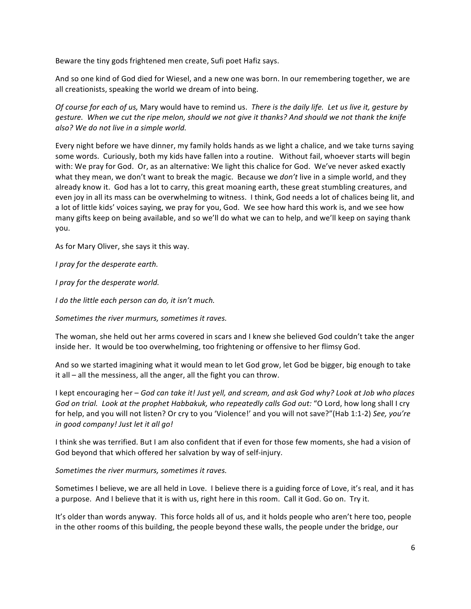Beware the tiny gods frightened men create, Sufi poet Hafiz says.

And so one kind of God died for Wiesel, and a new one was born. In our remembering together, we are all creationists, speaking the world we dream of into being.

*Of course for each of us, Mary would have to remind us. There is the daily life. Let us live it, gesture by gesture.''When'we'cut'the'ripe'melon,'should'we'not'give'it'thanks?'And'should'we'not'thank'the'knife'* also? We do not live in a simple world.

Every night before we have dinner, my family holds hands as we light a chalice, and we take turns saying some words. Curiously, both my kids have fallen into a routine. Without fail, whoever starts will begin with: We pray for God. Or, as an alternative: We light this chalice for God. We've never asked exactly what they mean, we don't want to break the magic. Because we *don't* live in a simple world, and they already know it. God has a lot to carry, this great moaning earth, these great stumbling creatures, and even joy in all its mass can be overwhelming to witness. I think, God needs a lot of chalices being lit, and a lot of little kids' voices saying, we pray for you, God. We see how hard this work is, and we see how many gifts keep on being available, and so we'll do what we can to help, and we'll keep on saying thank you.

As for Mary Oliver, she says it this way.

*I* pray for the desperate earth.

*I* pray for the desperate world.

*I* do the little each person can do, it isn't much.

Sometimes the river murmurs, sometimes it raves.

The woman, she held out her arms covered in scars and I knew she believed God couldn't take the anger inside her. It would be too overwhelming, too frightening or offensive to her flimsy God.

And so we started imagining what it would mean to let God grow, let God be bigger, big enough to take it all – all the messiness, all the anger, all the fight you can throw.

I kept encouraging her – *God can take it! Just yell, and scream, and ask God why? Look at Job who places God on trial. Look at the prophet Habbakuk, who repeatedly calls God out:* "O Lord, how long shall I cry for help, and you will not listen? Or cry to you 'Violence!' and you will not save?"(Hab 1:1-2) See, you're in good company! Just let it all go!

I think she was terrified. But I am also confident that if even for those few moments, she had a vision of God beyond that which offered her salvation by way of self-injury.

Sometimes the river murmurs, sometimes it raves.

Sometimes I believe, we are all held in Love. I believe there is a guiding force of Love, it's real, and it has a purpose. And I believe that it is with us, right here in this room. Call it God. Go on. Try it.

It's older than words anyway. This force holds all of us, and it holds people who aren't here too, people in the other rooms of this building, the people beyond these walls, the people under the bridge, our